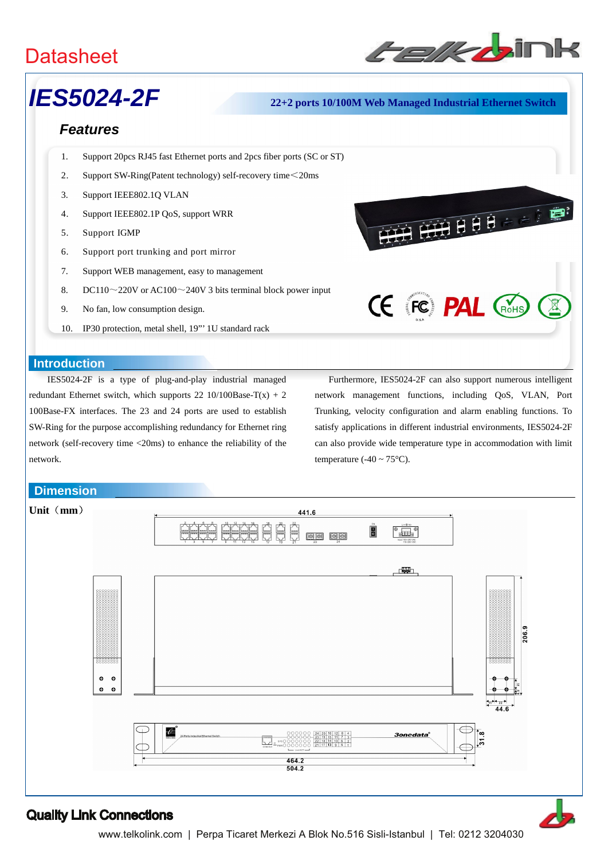# **Datasheet**



FILE OF THE PROPERTY

# *IES5024-2F* **22+2 ports 10/100M Web Managed Industrial Ethernet Switch**

### *Features*

- 1. Support 20pcs RJ45 fast Ethernet ports and 2pcs fiber ports (SC or ST)
- 2. Support SW-Ring(Patent technology) self-recovery time<20ms
- 3. Support IEEE802.1Q VLAN
- 4. Support IEEE802.1P QoS, support WRR
- 5. Support IGMP
- 6. Support port trunking and port mirror
- 7. Support WEB management, easy to management
- 8. DC110 $\sim$ 220V or AC100 $\sim$ 240V 3 bits terminal block power input
- 9. No fan, low consumption design.
- 10. IP30 protection, metal shell, 19"' 1U standard rack

#### **Introduction**

IES5024-2F is a type of plug-and-play industrial managed redundant Ethernet switch, which supports 22 10/100Base-T(x) + 2 100Base-FX interfaces. The 23 and 24 ports are used to establish SW-Ring for the purpose accomplishing redundancy for Ethernet ring network (self-recovery time <20ms) to enhance the reliability of the network.

# Furthermore, IES5024-2F can also support numerous intelligent network management functions, including QoS, VLAN, Port Trunking, velocity configuration and alarm enabling functions. To satisfy applications in different industrial environments, IES5024-2F can also provide wide temperature type in accommodation with limit temperature (-40  $\sim$  75 $^{\circ}$ C).

**CE FC PAL CROHS** 

#### **Dimension**



## Quality Link Connections